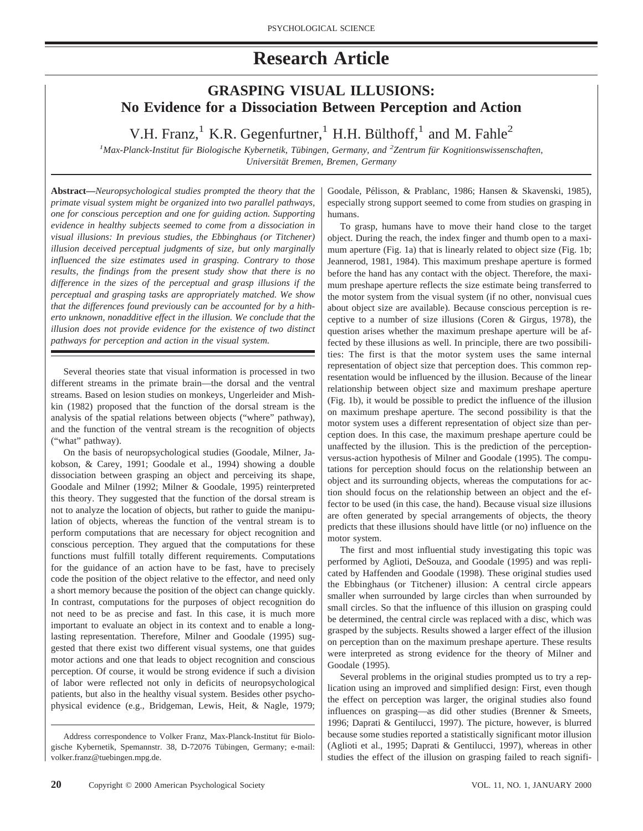# **Research Article**

# **GRASPING VISUAL ILLUSIONS: No Evidence for a Dissociation Between Perception and Action**

V.H. Franz,<sup>1</sup> K.R. Gegenfurtner,<sup>1</sup> H.H. Bülthoff,<sup>1</sup> and M. Fahle<sup>2</sup>

<sup>1</sup> Max-Planck-Institut für Biologische Kybernetik, Tübingen, Germany, and <sup>2</sup>Zentrum für Kognitionswissenschaften, *Universita¨t Bremen, Bremen, Germany*

**Abstract—***Neuropsychological studies prompted the theory that the primate visual system might be organized into two parallel pathways, one for conscious perception and one for guiding action. Supporting evidence in healthy subjects seemed to come from a dissociation in visual illusions: In previous studies, the Ebbinghaus (or Titchener) illusion deceived perceptual judgments of size, but only marginally influenced the size estimates used in grasping. Contrary to those results, the findings from the present study show that there is no difference in the sizes of the perceptual and grasp illusions if the perceptual and grasping tasks are appropriately matched. We show that the differences found previously can be accounted for by a hitherto unknown, nonadditive effect in the illusion. We conclude that the illusion does not provide evidence for the existence of two distinct pathways for perception and action in the visual system.*

Several theories state that visual information is processed in two different streams in the primate brain—the dorsal and the ventral streams. Based on lesion studies on monkeys, Ungerleider and Mishkin (1982) proposed that the function of the dorsal stream is the analysis of the spatial relations between objects ("where" pathway), and the function of the ventral stream is the recognition of objects ("what" pathway).

On the basis of neuropsychological studies (Goodale, Milner, Jakobson, & Carey, 1991; Goodale et al., 1994) showing a double dissociation between grasping an object and perceiving its shape, Goodale and Milner (1992; Milner & Goodale, 1995) reinterpreted this theory. They suggested that the function of the dorsal stream is not to analyze the location of objects, but rather to guide the manipulation of objects, whereas the function of the ventral stream is to perform computations that are necessary for object recognition and conscious perception. They argued that the computations for these functions must fulfill totally different requirements. Computations for the guidance of an action have to be fast, have to precisely code the position of the object relative to the effector, and need only a short memory because the position of the object can change quickly. In contrast, computations for the purposes of object recognition do not need to be as precise and fast. In this case, it is much more important to evaluate an object in its context and to enable a longlasting representation. Therefore, Milner and Goodale (1995) suggested that there exist two different visual systems, one that guides motor actions and one that leads to object recognition and conscious perception. Of course, it would be strong evidence if such a division of labor were reflected not only in deficits of neuropsychological patients, but also in the healthy visual system. Besides other psychophysical evidence (e.g., Bridgeman, Lewis, Heit, & Nagle, 1979;

Goodale, Pélisson, & Prablanc, 1986; Hansen & Skavenski, 1985), especially strong support seemed to come from studies on grasping in humans.

To grasp, humans have to move their hand close to the target object. During the reach, the index finger and thumb open to a maximum aperture (Fig. 1a) that is linearly related to object size (Fig. 1b; Jeannerod, 1981, 1984). This maximum preshape aperture is formed before the hand has any contact with the object. Therefore, the maximum preshape aperture reflects the size estimate being transferred to the motor system from the visual system (if no other, nonvisual cues about object size are available). Because conscious perception is receptive to a number of size illusions (Coren & Girgus, 1978), the question arises whether the maximum preshape aperture will be affected by these illusions as well. In principle, there are two possibilities: The first is that the motor system uses the same internal representation of object size that perception does. This common representation would be influenced by the illusion. Because of the linear relationship between object size and maximum preshape aperture (Fig. 1b), it would be possible to predict the influence of the illusion on maximum preshape aperture. The second possibility is that the motor system uses a different representation of object size than perception does. In this case, the maximum preshape aperture could be unaffected by the illusion. This is the prediction of the perceptionversus-action hypothesis of Milner and Goodale (1995). The computations for perception should focus on the relationship between an object and its surrounding objects, whereas the computations for action should focus on the relationship between an object and the effector to be used (in this case, the hand). Because visual size illusions are often generated by special arrangements of objects, the theory predicts that these illusions should have little (or no) influence on the motor system.

The first and most influential study investigating this topic was performed by Aglioti, DeSouza, and Goodale (1995) and was replicated by Haffenden and Goodale (1998). These original studies used the Ebbinghaus (or Titchener) illusion: A central circle appears smaller when surrounded by large circles than when surrounded by small circles. So that the influence of this illusion on grasping could be determined, the central circle was replaced with a disc, which was grasped by the subjects. Results showed a larger effect of the illusion on perception than on the maximum preshape aperture. These results were interpreted as strong evidence for the theory of Milner and Goodale (1995).

Several problems in the original studies prompted us to try a replication using an improved and simplified design: First, even though the effect on perception was larger, the original studies also found influences on grasping—as did other studies (Brenner & Smeets, 1996; Daprati & Gentilucci, 1997). The picture, however, is blurred because some studies reported a statistically significant motor illusion (Aglioti et al., 1995; Daprati & Gentilucci, 1997), whereas in other studies the effect of the illusion on grasping failed to reach signifi-

Address correspondence to Volker Franz, Max-Planck-Institut für Biologische Kybernetik, Spemannstr. 38, D-72076 Tübingen, Germany; e-mail: volker.franz@tuebingen.mpg.de.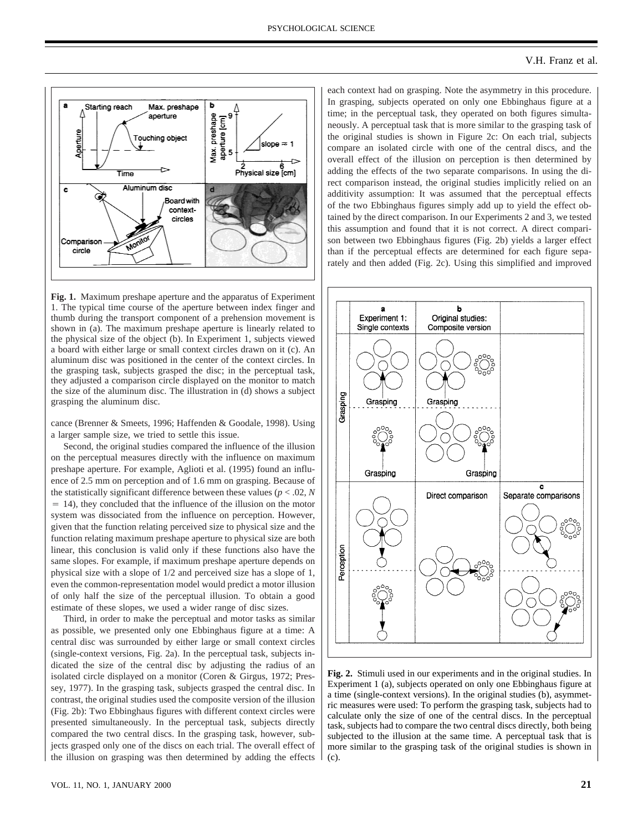

**Fig. 1.** Maximum preshape aperture and the apparatus of Experiment 1. The typical time course of the aperture between index finger and thumb during the transport component of a prehension movement is shown in (a). The maximum preshape aperture is linearly related to the physical size of the object (b). In Experiment 1, subjects viewed a board with either large or small context circles drawn on it (c). An aluminum disc was positioned in the center of the context circles. In the grasping task, subjects grasped the disc; in the perceptual task, they adjusted a comparison circle displayed on the monitor to match the size of the aluminum disc. The illustration in (d) shows a subject grasping the aluminum disc.

cance (Brenner & Smeets, 1996; Haffenden & Goodale, 1998). Using a larger sample size, we tried to settle this issue.

Second, the original studies compared the influence of the illusion on the perceptual measures directly with the influence on maximum preshape aperture. For example, Aglioti et al. (1995) found an influence of 2.5 mm on perception and of 1.6 mm on grasping. Because of the statistically significant difference between these values ( $p < .02$ ,  $N$  $= 14$ ), they concluded that the influence of the illusion on the motor system was dissociated from the influence on perception. However, given that the function relating perceived size to physical size and the function relating maximum preshape aperture to physical size are both linear, this conclusion is valid only if these functions also have the same slopes. For example, if maximum preshape aperture depends on physical size with a slope of 1/2 and perceived size has a slope of 1, even the common-representation model would predict a motor illusion of only half the size of the perceptual illusion. To obtain a good estimate of these slopes, we used a wider range of disc sizes.

Third, in order to make the perceptual and motor tasks as similar as possible, we presented only one Ebbinghaus figure at a time: A central disc was surrounded by either large or small context circles (single-context versions, Fig. 2a). In the perceptual task, subjects indicated the size of the central disc by adjusting the radius of an isolated circle displayed on a monitor (Coren & Girgus, 1972; Pressey, 1977). In the grasping task, subjects grasped the central disc. In contrast, the original studies used the composite version of the illusion (Fig. 2b): Two Ebbinghaus figures with different context circles were presented simultaneously. In the perceptual task, subjects directly compared the two central discs. In the grasping task, however, subjects grasped only one of the discs on each trial. The overall effect of the illusion on grasping was then determined by adding the effects

each context had on grasping. Note the asymmetry in this procedure. In grasping, subjects operated on only one Ebbinghaus figure at a time; in the perceptual task, they operated on both figures simultaneously. A perceptual task that is more similar to the grasping task of the original studies is shown in Figure 2c: On each trial, subjects compare an isolated circle with one of the central discs, and the overall effect of the illusion on perception is then determined by adding the effects of the two separate comparisons. In using the direct comparison instead, the original studies implicitly relied on an additivity assumption: It was assumed that the perceptual effects of the two Ebbinghaus figures simply add up to yield the effect obtained by the direct comparison. In our Experiments 2 and 3, we tested this assumption and found that it is not correct. A direct comparison between two Ebbinghaus figures (Fig. 2b) yields a larger effect than if the perceptual effects are determined for each figure separately and then added (Fig. 2c). Using this simplified and improved



**Fig. 2.** Stimuli used in our experiments and in the original studies. In Experiment 1 (a), subjects operated on only one Ebbinghaus figure at a time (single-context versions). In the original studies (b), asymmetric measures were used: To perform the grasping task, subjects had to calculate only the size of one of the central discs. In the perceptual task, subjects had to compare the two central discs directly, both being subjected to the illusion at the same time. A perceptual task that is more similar to the grasping task of the original studies is shown in (c).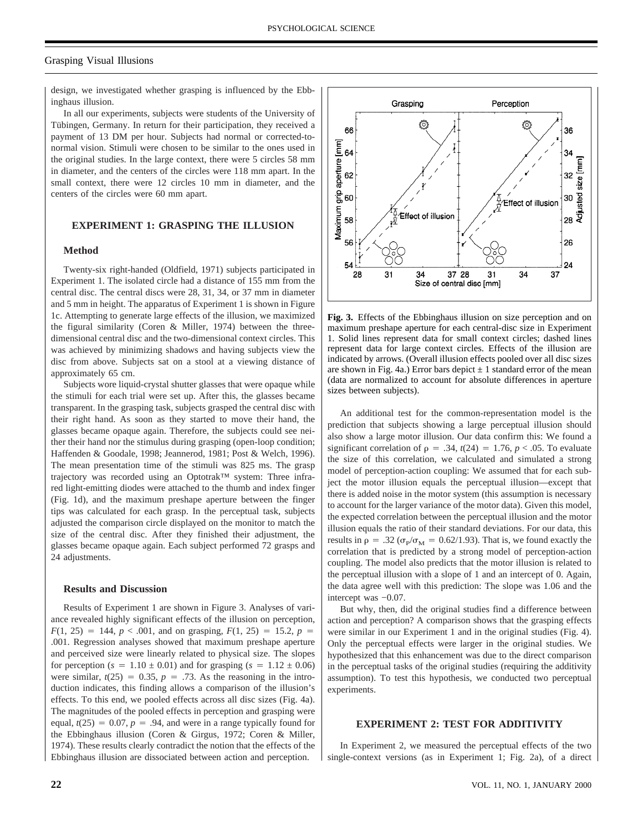# Grasping Visual Illusions

design, we investigated whether grasping is influenced by the Ebbinghaus illusion.

In all our experiments, subjects were students of the University of Tübingen, Germany. In return for their participation, they received a payment of 13 DM per hour. Subjects had normal or corrected-tonormal vision. Stimuli were chosen to be similar to the ones used in the original studies. In the large context, there were 5 circles 58 mm in diameter, and the centers of the circles were 118 mm apart. In the small context, there were 12 circles 10 mm in diameter, and the centers of the circles were 60 mm apart.

# **EXPERIMENT 1: GRASPING THE ILLUSION**

#### **Method**

Twenty-six right-handed (Oldfield, 1971) subjects participated in Experiment 1. The isolated circle had a distance of 155 mm from the central disc. The central discs were 28, 31, 34, or 37 mm in diameter and 5 mm in height. The apparatus of Experiment 1 is shown in Figure 1c. Attempting to generate large effects of the illusion, we maximized the figural similarity (Coren & Miller, 1974) between the threedimensional central disc and the two-dimensional context circles. This was achieved by minimizing shadows and having subjects view the disc from above. Subjects sat on a stool at a viewing distance of approximately 65 cm.

Subjects wore liquid-crystal shutter glasses that were opaque while the stimuli for each trial were set up. After this, the glasses became transparent. In the grasping task, subjects grasped the central disc with their right hand. As soon as they started to move their hand, the glasses became opaque again. Therefore, the subjects could see neither their hand nor the stimulus during grasping (open-loop condition; Haffenden & Goodale, 1998; Jeannerod, 1981; Post & Welch, 1996). The mean presentation time of the stimuli was 825 ms. The grasp trajectory was recorded using an Optotrak™ system: Three infrared light-emitting diodes were attached to the thumb and index finger (Fig. 1d), and the maximum preshape aperture between the finger tips was calculated for each grasp. In the perceptual task, subjects adjusted the comparison circle displayed on the monitor to match the size of the central disc. After they finished their adjustment, the glasses became opaque again. Each subject performed 72 grasps and 24 adjustments.

#### **Results and Discussion**

Results of Experiment 1 are shown in Figure 3. Analyses of variance revealed highly significant effects of the illusion on perception,  $F(1, 25) = 144$ ,  $p < .001$ , and on grasping,  $F(1, 25) = 15.2$ ,  $p =$ .001. Regression analyses showed that maximum preshape aperture and perceived size were linearly related to physical size. The slopes for perception ( $s = 1.10 \pm 0.01$ ) and for grasping ( $s = 1.12 \pm 0.06$ ) were similar,  $t(25) = 0.35$ ,  $p = .73$ . As the reasoning in the introduction indicates, this finding allows a comparison of the illusion's effects. To this end, we pooled effects across all disc sizes (Fig. 4a). The magnitudes of the pooled effects in perception and grasping were equal,  $t(25) = 0.07$ ,  $p = .94$ , and were in a range typically found for the Ebbinghaus illusion (Coren & Girgus, 1972; Coren & Miller, 1974). These results clearly contradict the notion that the effects of the Ebbinghaus illusion are dissociated between action and perception.



**Fig. 3.** Effects of the Ebbinghaus illusion on size perception and on maximum preshape aperture for each central-disc size in Experiment 1. Solid lines represent data for small context circles; dashed lines represent data for large context circles. Effects of the illusion are indicated by arrows. (Overall illusion effects pooled over all disc sizes are shown in Fig. 4a.) Error bars depict  $\pm 1$  standard error of the mean (data are normalized to account for absolute differences in aperture sizes between subjects).

An additional test for the common-representation model is the prediction that subjects showing a large perceptual illusion should also show a large motor illusion. Our data confirm this: We found a significant correlation of  $\rho = .34$ ,  $t(24) = 1.76$ ,  $p < .05$ . To evaluate the size of this correlation, we calculated and simulated a strong model of perception-action coupling: We assumed that for each subject the motor illusion equals the perceptual illusion—except that there is added noise in the motor system (this assumption is necessary to account for the larger variance of the motor data). Given this model, the expected correlation between the perceptual illusion and the motor illusion equals the ratio of their standard deviations. For our data, this results in  $\rho = .32$  ( $\sigma_{\rm p}/\sigma_{\rm M} = 0.62/1.93$ ). That is, we found exactly the correlation that is predicted by a strong model of perception-action coupling. The model also predicts that the motor illusion is related to the perceptual illusion with a slope of 1 and an intercept of 0. Again, the data agree well with this prediction: The slope was 1.06 and the intercept was −0.07.

But why, then, did the original studies find a difference between action and perception? A comparison shows that the grasping effects were similar in our Experiment 1 and in the original studies (Fig. 4). Only the perceptual effects were larger in the original studies. We hypothesized that this enhancement was due to the direct comparison in the perceptual tasks of the original studies (requiring the additivity assumption). To test this hypothesis, we conducted two perceptual experiments.

#### **EXPERIMENT 2: TEST FOR ADDITIVITY**

In Experiment 2, we measured the perceptual effects of the two single-context versions (as in Experiment 1; Fig. 2a), of a direct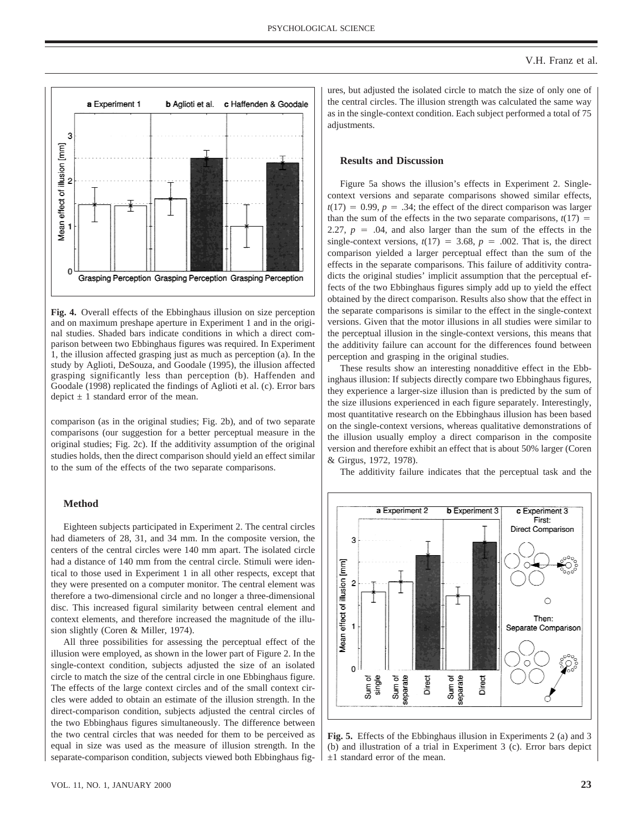

**Fig. 4.** Overall effects of the Ebbinghaus illusion on size perception and on maximum preshape aperture in Experiment 1 and in the original studies. Shaded bars indicate conditions in which a direct comparison between two Ebbinghaus figures was required. In Experiment 1, the illusion affected grasping just as much as perception (a). In the study by Aglioti, DeSouza, and Goodale (1995), the illusion affected grasping significantly less than perception (b). Haffenden and Goodale (1998) replicated the findings of Aglioti et al. (c). Error bars depict  $\pm$  1 standard error of the mean.

comparison (as in the original studies; Fig. 2b), and of two separate comparisons (our suggestion for a better perceptual measure in the original studies; Fig. 2c). If the additivity assumption of the original studies holds, then the direct comparison should yield an effect similar to the sum of the effects of the two separate comparisons.

# **Method**

Eighteen subjects participated in Experiment 2. The central circles had diameters of 28, 31, and 34 mm. In the composite version, the centers of the central circles were 140 mm apart. The isolated circle had a distance of 140 mm from the central circle. Stimuli were identical to those used in Experiment 1 in all other respects, except that they were presented on a computer monitor. The central element was therefore a two-dimensional circle and no longer a three-dimensional disc. This increased figural similarity between central element and context elements, and therefore increased the magnitude of the illusion slightly (Coren & Miller, 1974).

All three possibilities for assessing the perceptual effect of the illusion were employed, as shown in the lower part of Figure 2. In the single-context condition, subjects adjusted the size of an isolated circle to match the size of the central circle in one Ebbinghaus figure. The effects of the large context circles and of the small context circles were added to obtain an estimate of the illusion strength. In the direct-comparison condition, subjects adjusted the central circles of the two Ebbinghaus figures simultaneously. The difference between the two central circles that was needed for them to be perceived as equal in size was used as the measure of illusion strength. In the separate-comparison condition, subjects viewed both Ebbinghaus fig-

## **Results and Discussion**

Figure 5a shows the illusion's effects in Experiment 2. Singlecontext versions and separate comparisons showed similar effects,  $t(17) = 0.99$ ,  $p = .34$ ; the effect of the direct comparison was larger than the sum of the effects in the two separate comparisons,  $t(17) =$ 2.27,  $p = .04$ , and also larger than the sum of the effects in the single-context versions,  $t(17) = 3.68$ ,  $p = .002$ . That is, the direct comparison yielded a larger perceptual effect than the sum of the effects in the separate comparisons. This failure of additivity contradicts the original studies' implicit assumption that the perceptual effects of the two Ebbinghaus figures simply add up to yield the effect obtained by the direct comparison. Results also show that the effect in the separate comparisons is similar to the effect in the single-context versions. Given that the motor illusions in all studies were similar to the perceptual illusion in the single-context versions, this means that the additivity failure can account for the differences found between perception and grasping in the original studies.

These results show an interesting nonadditive effect in the Ebbinghaus illusion: If subjects directly compare two Ebbinghaus figures, they experience a larger-size illusion than is predicted by the sum of the size illusions experienced in each figure separately. Interestingly, most quantitative research on the Ebbinghaus illusion has been based on the single-context versions, whereas qualitative demonstrations of the illusion usually employ a direct comparison in the composite version and therefore exhibit an effect that is about 50% larger (Coren & Girgus, 1972, 1978).

The additivity failure indicates that the perceptual task and the



**Fig. 5.** Effects of the Ebbinghaus illusion in Experiments 2 (a) and 3 (b) and illustration of a trial in Experiment 3 (c). Error bars depict ±1 standard error of the mean.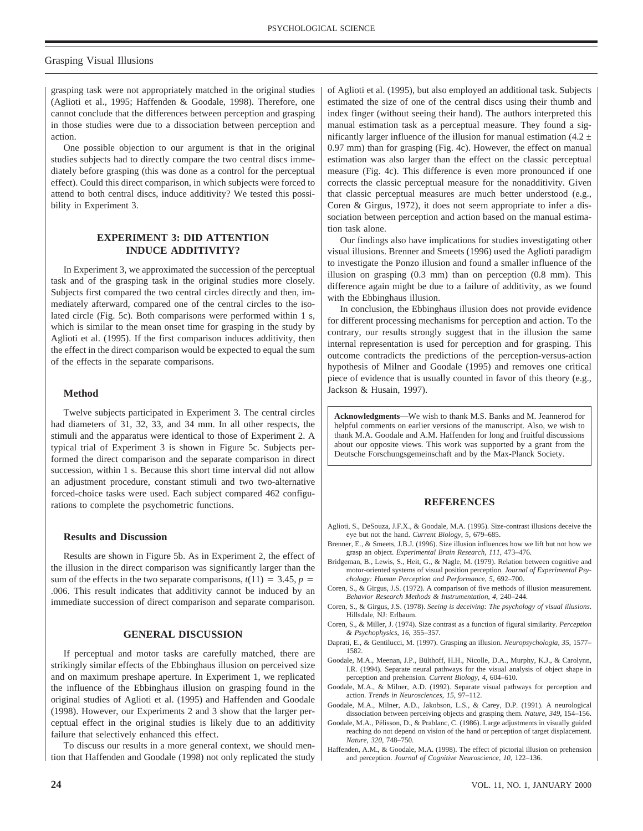#### Grasping Visual Illusions

grasping task were not appropriately matched in the original studies (Aglioti et al., 1995; Haffenden & Goodale, 1998). Therefore, one cannot conclude that the differences between perception and grasping in those studies were due to a dissociation between perception and action.

One possible objection to our argument is that in the original studies subjects had to directly compare the two central discs immediately before grasping (this was done as a control for the perceptual effect). Could this direct comparison, in which subjects were forced to attend to both central discs, induce additivity? We tested this possibility in Experiment 3.

# **EXPERIMENT 3: DID ATTENTION INDUCE ADDITIVITY?**

In Experiment 3, we approximated the succession of the perceptual task and of the grasping task in the original studies more closely. Subjects first compared the two central circles directly and then, immediately afterward, compared one of the central circles to the isolated circle (Fig. 5c). Both comparisons were performed within 1 s, which is similar to the mean onset time for grasping in the study by Aglioti et al. (1995). If the first comparison induces additivity, then the effect in the direct comparison would be expected to equal the sum of the effects in the separate comparisons.

#### **Method**

Twelve subjects participated in Experiment 3. The central circles had diameters of 31, 32, 33, and 34 mm. In all other respects, the stimuli and the apparatus were identical to those of Experiment 2. A typical trial of Experiment 3 is shown in Figure 5c. Subjects performed the direct comparison and the separate comparison in direct succession, within 1 s. Because this short time interval did not allow an adjustment procedure, constant stimuli and two two-alternative forced-choice tasks were used. Each subject compared 462 configurations to complete the psychometric functions.

#### **Results and Discussion**

Results are shown in Figure 5b. As in Experiment 2, the effect of the illusion in the direct comparison was significantly larger than the sum of the effects in the two separate comparisons,  $t(11) = 3.45$ ,  $p =$ .006. This result indicates that additivity cannot be induced by an immediate succession of direct comparison and separate comparison.

#### **GENERAL DISCUSSION**

If perceptual and motor tasks are carefully matched, there are strikingly similar effects of the Ebbinghaus illusion on perceived size and on maximum preshape aperture. In Experiment 1, we replicated the influence of the Ebbinghaus illusion on grasping found in the original studies of Aglioti et al. (1995) and Haffenden and Goodale (1998). However, our Experiments 2 and 3 show that the larger perceptual effect in the original studies is likely due to an additivity failure that selectively enhanced this effect.

To discuss our results in a more general context, we should mention that Haffenden and Goodale (1998) not only replicated the study

of Aglioti et al. (1995), but also employed an additional task. Subjects estimated the size of one of the central discs using their thumb and index finger (without seeing their hand). The authors interpreted this manual estimation task as a perceptual measure. They found a significantly larger influence of the illusion for manual estimation (4.2  $\pm$ 0.97 mm) than for grasping (Fig. 4c). However, the effect on manual estimation was also larger than the effect on the classic perceptual measure (Fig. 4c). This difference is even more pronounced if one corrects the classic perceptual measure for the nonadditivity. Given that classic perceptual measures are much better understood (e.g., Coren & Girgus, 1972), it does not seem appropriate to infer a dissociation between perception and action based on the manual estimation task alone.

Our findings also have implications for studies investigating other visual illusions. Brenner and Smeets (1996) used the Aglioti paradigm to investigate the Ponzo illusion and found a smaller influence of the illusion on grasping (0.3 mm) than on perception (0.8 mm). This difference again might be due to a failure of additivity, as we found with the Ebbinghaus illusion.

In conclusion, the Ebbinghaus illusion does not provide evidence for different processing mechanisms for perception and action. To the contrary, our results strongly suggest that in the illusion the same internal representation is used for perception and for grasping. This outcome contradicts the predictions of the perception-versus-action hypothesis of Milner and Goodale (1995) and removes one critical piece of evidence that is usually counted in favor of this theory (e.g., Jackson & Husain, 1997).

**Acknowledgments—**We wish to thank M.S. Banks and M. Jeannerod for helpful comments on earlier versions of the manuscript. Also, we wish to thank M.A. Goodale and A.M. Haffenden for long and fruitful discussions about our opposite views. This work was supported by a grant from the Deutsche Forschungsgemeinschaft and by the Max-Planck Society.

#### **REFERENCES**

- Aglioti, S., DeSouza, J.F.X., & Goodale, M.A. (1995). Size-contrast illusions deceive the eye but not the hand. *Current Biology*, *5*, 679–685.
- Brenner, E., & Smeets, J.B.J. (1996). Size illusion influences how we lift but not how we grasp an object. *Experimental Brain Research*, *111*, 473–476.
- Bridgeman, B., Lewis, S., Heit, G., & Nagle, M. (1979). Relation between cognitive and motor-oriented systems of visual position perception. *Journal of Experimental Psychology: Human Perception and Performance*, *5*, 692–700.
- Coren, S., & Girgus, J.S. (1972). A comparison of five methods of illusion measurement. *Behavior Research Methods & Instrumentation*, *4*, 240–244.
- Coren, S., & Girgus, J.S. (1978). *Seeing is deceiving: The psychology of visual illusions*. Hillsdale, NJ: Erlbaum.
- Coren, S., & Miller, J. (1974). Size contrast as a function of figural similarity. *Perception & Psychophysics*, *16*, 355–357.
- Daprati, E., & Gentilucci, M. (1997). Grasping an illusion. *Neuropsychologia*, *35*, 1577– 1582.
- Goodale, M.A., Meenan, J.P., Bülthoff, H.H., Nicolle, D.A., Murphy, K.J., & Carolynn, I.R. (1994). Separate neural pathways for the visual analysis of object shape in perception and prehension. *Current Biology*, *4*, 604–610.
- Goodale, M.A., & Milner, A.D. (1992). Separate visual pathways for perception and action. *Trends in Neurosciences*, *15*, 97–112.
- Goodale, M.A., Milner, A.D., Jakobson, L.S., & Carey, D.P. (1991). A neurological dissociation between perceiving objects and grasping them. *Nature*, *349*, 154–156.
- Goodale, M.A., Pélisson, D., & Prablanc, C. (1986). Large adjustments in visually guided reaching do not depend on vision of the hand or perception of target displacement. *Nature*, *320*, 748–750.
- Haffenden, A.M., & Goodale, M.A. (1998). The effect of pictorial illusion on prehension and perception. *Journal of Cognitive Neuroscience*, *10*, 122–136.